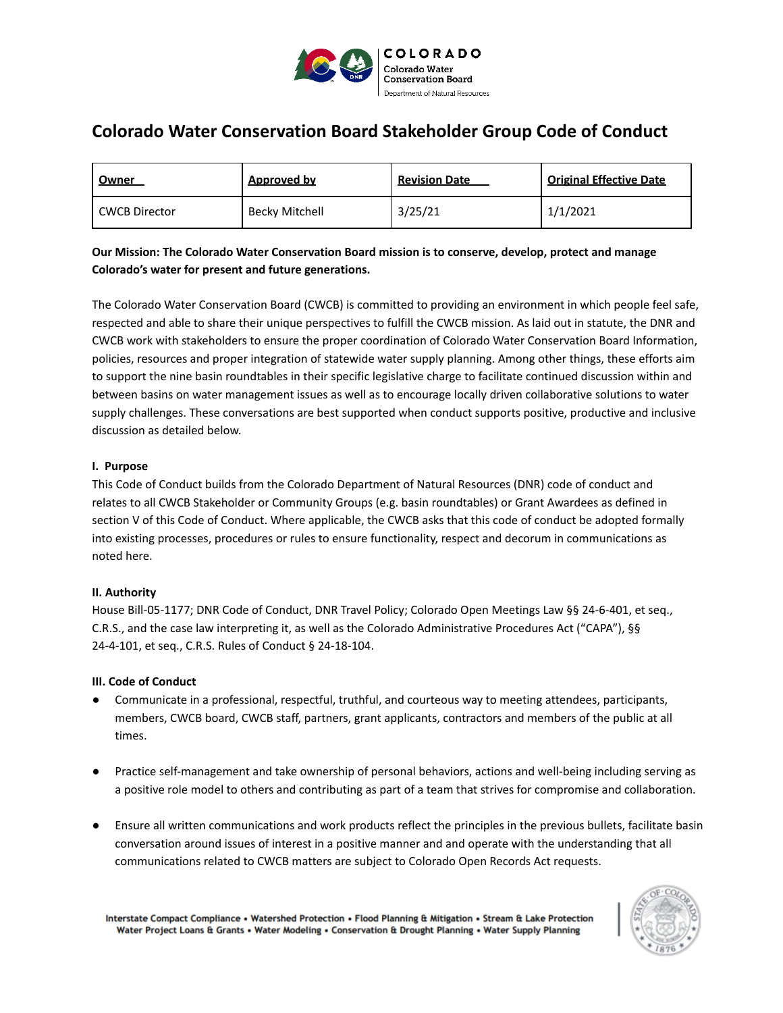

# **Colorado Water Conservation Board Stakeholder Group Code of Conduct**

| <u>Owner</u>    | <u>Approved by</u> | <b>Revision Date</b> | <b>Original Effective Date</b> |
|-----------------|--------------------|----------------------|--------------------------------|
| l CWCB Director | Becky Mitchell     | 3/25/21              | 1/1/2021                       |

## **Our Mission: The Colorado Water Conservation Board mission is to conserve, develop, protect and manage Colorado's water for present and future generations.**

The Colorado Water Conservation Board (CWCB) is committed to providing an environment in which people feel safe, respected and able to share their unique perspectives to fulfill the CWCB mission. As laid out in statute, the DNR and CWCB work with stakeholders to ensure the proper coordination of Colorado Water Conservation Board Information, policies, resources and proper integration of statewide water supply planning. Among other things, these efforts aim to support the nine basin roundtables in their specific legislative charge to facilitate continued discussion within and between basins on water management issues as well as to encourage locally driven collaborative solutions to water supply challenges. These conversations are best supported when conduct supports positive, productive and inclusive discussion as detailed below.

### **I. Purpose**

This Code of Conduct builds from the Colorado Department of Natural Resources (DNR) code of conduct and relates to all CWCB Stakeholder or Community Groups (e.g. basin roundtables) or Grant Awardees as defined in section V of this Code of Conduct. Where applicable, the CWCB asks that this code of conduct be adopted formally into existing processes, procedures or rules to ensure functionality, respect and decorum in communications as noted here.

#### **II. Authority**

House Bill-05-1177; DNR Code of Conduct, DNR Travel Policy; Colorado Open Meetings Law §§ 24-6-401, et seq., C.R.S., and the case law interpreting it, as well as the Colorado Administrative Procedures Act ("CAPA"), §§ 24-4-101, et seq., C.R.S. Rules of Conduct § 24-18-104.

#### **III. Code of Conduct**

- Communicate in a professional, respectful, truthful, and courteous way to meeting attendees, participants, members, CWCB board, CWCB staff, partners, grant applicants, contractors and members of the public at all times.
- Practice self-management and take ownership of personal behaviors, actions and well-being including serving as a positive role model to others and contributing as part of a team that strives for compromise and collaboration.
- Ensure all written communications and work products reflect the principles in the previous bullets, facilitate basin conversation around issues of interest in a positive manner and and operate with the understanding that all communications related to CWCB matters are subject to Colorado Open Records Act requests.